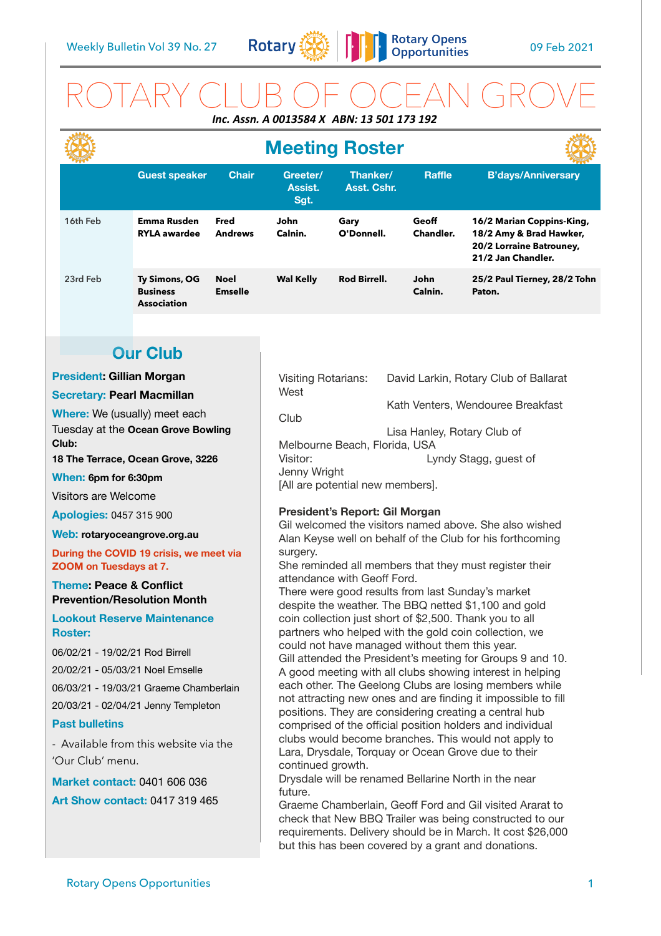

# ROTARY CLUB OF OCEAN GROVE *Inc. Assn. A 0013584 X ABN: 13 501 173 192*

|                                                                                                                                           |                                                        |                               | <b>Meeting Roster</b>                                                                                                                                                     |                         |                           |                                                                                                        |
|-------------------------------------------------------------------------------------------------------------------------------------------|--------------------------------------------------------|-------------------------------|---------------------------------------------------------------------------------------------------------------------------------------------------------------------------|-------------------------|---------------------------|--------------------------------------------------------------------------------------------------------|
|                                                                                                                                           | <b>Guest speaker</b>                                   | <b>Chair</b>                  | Greeter/<br>Assist.<br>Sgt.                                                                                                                                               | Thanker/<br>Asst. Cshr. | <b>Raffle</b>             | <b>B'days/Anniversary</b>                                                                              |
| 16th Feb                                                                                                                                  | <b>Emma Rusden</b><br><b>RYLA awardee</b>              | Fred<br><b>Andrews</b>        | John<br>Calnin.                                                                                                                                                           | Gary<br>O'Donnell.      | Geoff<br><b>Chandler.</b> | 16/2 Marian Coppins-King,<br>18/2 Amy & Brad Hawker,<br>20/2 Lorraine Batrouney,<br>21/2 Jan Chandler. |
| 23rd Feb                                                                                                                                  | Ty Simons, OG<br><b>Business</b><br><b>Association</b> | <b>Noel</b><br><b>Emselle</b> | <b>Wal Kelly</b>                                                                                                                                                          | <b>Rod Birrell.</b>     | John<br>Calnin.           | 25/2 Paul Tierney, 28/2 Tohn<br>Paton.                                                                 |
|                                                                                                                                           |                                                        |                               |                                                                                                                                                                           |                         |                           |                                                                                                        |
| <b>Our Club</b>                                                                                                                           |                                                        |                               |                                                                                                                                                                           |                         |                           |                                                                                                        |
| <b>President: Gillian Morgan</b>                                                                                                          |                                                        |                               | <b>Visiting Rotarians:</b><br>David Larkin, Rotary Club of Ballarat                                                                                                       |                         |                           |                                                                                                        |
| <b>Secretary: Pearl Macmillan</b>                                                                                                         |                                                        |                               | West                                                                                                                                                                      |                         |                           |                                                                                                        |
| Where: We (usually) meet each<br>Tuesday at the Ocean Grove Bowling<br>Club:<br>18 The Terrace, Ocean Grove, 3226<br>When: 6pm for 6:30pm |                                                        |                               | Kath Venters, Wendouree Breakfast<br>Club<br>Lisa Hanley, Rotary Club of<br>Melbourne Beach, Florida, USA<br>Visitor:<br>Lyndy Stagg, guest of<br>Jenny Wright            |                         |                           |                                                                                                        |
| Visitors are Welcome                                                                                                                      |                                                        |                               | [All are potential new members].                                                                                                                                          |                         |                           |                                                                                                        |
| <b>Apologies: 0457 315 900</b>                                                                                                            |                                                        |                               | President's Report: Gil Morgan                                                                                                                                            |                         |                           |                                                                                                        |
| Web: rotaryoceangrove.org.au                                                                                                              |                                                        |                               | Gil welcomed the visitors named above. She also wished                                                                                                                    |                         |                           |                                                                                                        |
| During the COVID 19 crisis, we meet via<br>ZOOM on Tuesdays at 7.                                                                         |                                                        |                               | Alan Keyse well on behalf of the Club for his forthcoming<br>surgery.<br>She reminded all members that they must register their                                           |                         |                           |                                                                                                        |
| <b>Theme: Peace &amp; Conflict</b><br><b>Prevention/Resolution Month</b>                                                                  |                                                        |                               | attendance with Geoff Ford.<br>There were good results from last Sunday's market<br>despite the weather. The BBQ netted \$1,100 and gold                                  |                         |                           |                                                                                                        |
| <b>Lookout Reserve Maintenance</b><br><b>Roster:</b>                                                                                      |                                                        |                               | coin collection just short of \$2,500. Thank you to all<br>partners who helped with the gold coin collection, we                                                          |                         |                           |                                                                                                        |
| 06/02/21 - 19/02/21 Rod Birrell<br>20/02/21 - 05/03/21 Noel Emselle                                                                       |                                                        |                               | could not have managed without them this year.<br>Gill attended the President's meeting for Groups 9 and 10.<br>A good meeting with all clubs showing interest in helping |                         |                           |                                                                                                        |
| 06/03/21 - 19/03/21 Graeme Chamberlain                                                                                                    |                                                        |                               | each other. The Geelong Clubs are losing members while                                                                                                                    |                         |                           |                                                                                                        |
| 20/03/21 - 02/04/21 Jenny Templeton                                                                                                       |                                                        |                               | not attracting new ones and are finding it impossible to fill<br>positions. They are considering creating a central hub                                                   |                         |                           |                                                                                                        |
| <b>Past bulletins</b>                                                                                                                     |                                                        |                               | comprised of the official position holders and individual                                                                                                                 |                         |                           |                                                                                                        |
| - Available from this website via the<br>'Our Club' menu.                                                                                 |                                                        |                               | clubs would become branches. This would not apply to<br>Lara, Drysdale, Torquay or Ocean Grove due to their<br>continued growth.                                          |                         |                           |                                                                                                        |
| <b>Market contact: 0401 606 036</b>                                                                                                       |                                                        |                               | Drysdale will be renamed Bellarine North in the near                                                                                                                      |                         |                           |                                                                                                        |
| <b>Art Show contact: 0417 319 465</b>                                                                                                     |                                                        |                               | future.<br>Graame Chamberlain, Geoff Ford and Gil visited Ararat to                                                                                                       |                         |                           |                                                                                                        |

Graeme Chamberlain, Geoff Ford and Gil visited Ararat to check that New BBQ Trailer was being constructed to our requirements. Delivery should be in March. It cost \$26,000 but this has been covered by a grant and donations.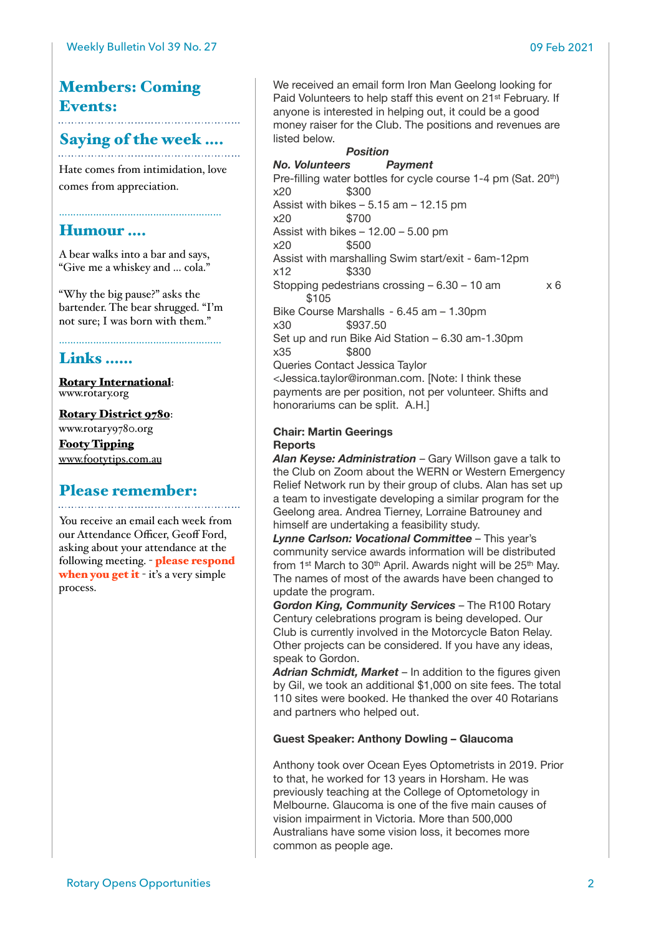# Members: Coming Events:

### Saying of the week ….

Hate comes from intimidation, love comes from appreciation.

### Humour ….

A bear walks into a bar and says, "Give me a whiskey and … cola."

…………………………………………………

"Why the big pause?" asks the bartender. The bear shrugged. "I'm not sure; I was born with them."

## Links ……

[Rotary International](https://www.rotary.org): [www.rotary.org](http://www.rotary.org)

[Rotary District 9780](http://rotary9780.org): [www.rotary9780.org](http://www.rotary9780.org) [Footy Tipping](http://www.footytips.com.au) [www.footytips.com.au](http://www.footytips.com.au)

# Please remember:

You receive an email each week from our Attendance Officer, Geoff Ford, asking about your attendance at the following meeting. - please respond when you get it - it's a very simple process.

We received an email form Iron Man Geelong looking for Paid Volunteers to help staff this event on 21st February. If anyone is interested in helping out, it could be a good money raiser for the Club. The positions and revenues are listed below.

### **Position**

*No. Volunteers Payment* Pre-filling water bottles for cycle course 1-4 pm (Sat. 20th)  $x20$  \$300 Assist with bikes – 5.15 am – 12.15 pm x20 \$700 Assist with bikes  $-12.00 - 5.00$  pm x20 \$500 Assist with marshalling Swim start/exit - 6am-12pm x12 \$330 Stopping pedestrians crossing  $-6.30 - 10$  am  $\times 6$ \$105 Bike Course Marshalls - 6.45 am – 1.30pm x30 \$937.50 Set up and run Bike Aid Station – 6.30 am-1.30pm x35 \$800 Queries Contact Jessica Taylor <Jessica.taylor@ironman.com. [Note: I think these payments are per position, not per volunteer. Shifts and honorariums can be split. A.H.]

#### **Chair: Martin Geerings Reports**

*Alan Keyse: Administration* – Gary Willson gave a talk to the Club on Zoom about the WERN or Western Emergency Relief Network run by their group of clubs. Alan has set up a team to investigate developing a similar program for the Geelong area. Andrea Tierney, Lorraine Batrouney and himself are undertaking a feasibility study.

*Lynne Carlson: Vocational Committee* – This year's community service awards information will be distributed from 1st March to 30th April. Awards night will be 25th May. The names of most of the awards have been changed to update the program.

*Gordon King, Community Services* – The R100 Rotary Century celebrations program is being developed. Our Club is currently involved in the Motorcycle Baton Relay. Other projects can be considered. If you have any ideas, speak to Gordon.

*Adrian Schmidt, Market* – In addition to the figures given by Gil, we took an additional \$1,000 on site fees. The total 110 sites were booked. He thanked the over 40 Rotarians and partners who helped out.

### **Guest Speaker: Anthony Dowling – Glaucoma**

Anthony took over Ocean Eyes Optometrists in 2019. Prior to that, he worked for 13 years in Horsham. He was previously teaching at the College of Optometology in Melbourne. Glaucoma is one of the five main causes of vision impairment in Victoria. More than 500,000 Australians have some vision loss, it becomes more common as people age.